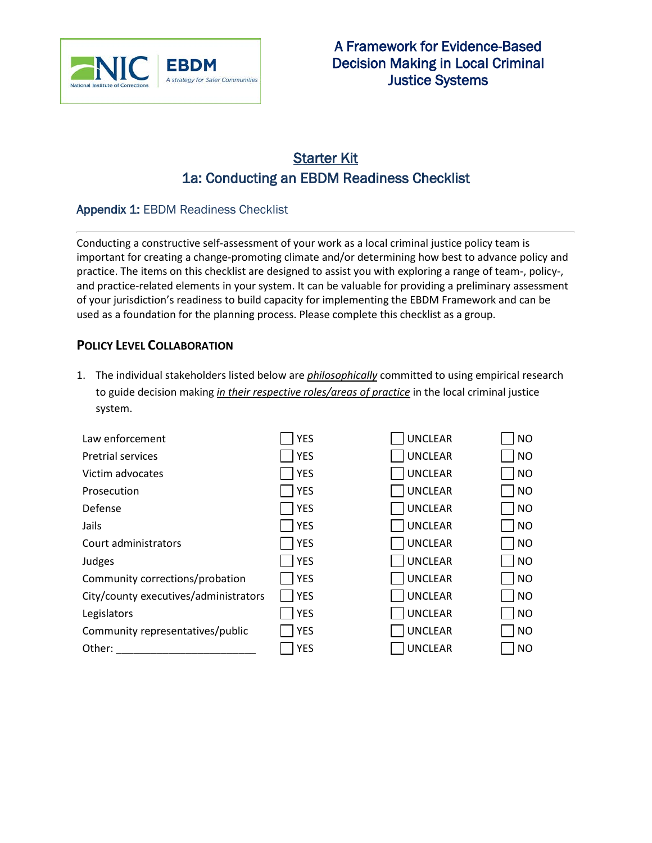

# Starter Kit 1a: Conducting an EBDM Readiness Checklist

#### Appendix 1: EBDM Readiness Checklist

Conducting a constructive self-assessment of your work as a local criminal justice policy team is important for creating a change-promoting climate and/or determining how best to advance policy and practice. The items on this checklist are designed to assist you with exploring a range of team-, policy-, and practice-related elements in your system. It can be valuable for providing a preliminary assessment of your jurisdiction's readiness to build capacity for implementing the EBDM Framework and can be used as a foundation for the planning process. Please complete this checklist as a group.

#### **POLICY LEVEL COLLABORATION**

1. The individual stakeholders listed below are *philosophically* committed to using empirical research to guide decision making *in their respective roles/areas of practice* in the local criminal justice system.

| Law enforcement                       | <b>YES</b> | <b>UNCLEAR</b> | <b>NO</b> |
|---------------------------------------|------------|----------------|-----------|
| <b>Pretrial services</b>              | <b>YES</b> | <b>UNCLEAR</b> | <b>NO</b> |
| Victim advocates                      | <b>YES</b> | <b>UNCLEAR</b> | <b>NO</b> |
| Prosecution                           | <b>YES</b> | <b>UNCLEAR</b> | <b>NO</b> |
| Defense                               | <b>YES</b> | <b>UNCLEAR</b> | <b>NO</b> |
| Jails                                 | <b>YES</b> | <b>UNCLEAR</b> | <b>NO</b> |
| Court administrators                  | <b>YES</b> | <b>UNCLEAR</b> | <b>NO</b> |
| Judges                                | <b>YES</b> | <b>UNCLEAR</b> | <b>NO</b> |
| Community corrections/probation       | <b>YES</b> | <b>UNCLEAR</b> | <b>NO</b> |
| City/county executives/administrators | <b>YES</b> | <b>UNCLEAR</b> | <b>NO</b> |
| Legislators                           | <b>YES</b> | <b>UNCLEAR</b> | <b>NO</b> |
| Community representatives/public      | <b>YES</b> | <b>UNCLEAR</b> | <b>NO</b> |
| Other:                                | <b>YES</b> | <b>UNCLEAR</b> | <b>NO</b> |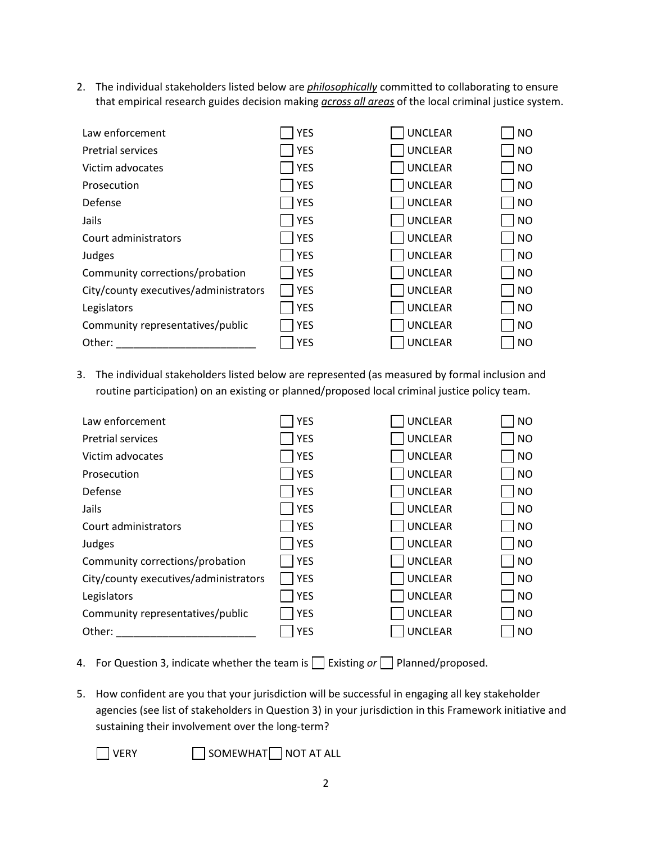2. The individual stakeholders listed below are *philosophically* committed to collaborating to ensure that empirical research guides decision making *across all areas* of the local criminal justice system.

| Law enforcement                       | <b>YES</b> | <b>UNCLEAR</b> | <b>NO</b> |
|---------------------------------------|------------|----------------|-----------|
| <b>Pretrial services</b>              | <b>YES</b> | <b>UNCLEAR</b> | <b>NO</b> |
| Victim advocates                      | <b>YES</b> | <b>UNCLEAR</b> | <b>NO</b> |
| Prosecution                           | <b>YES</b> | <b>UNCLEAR</b> | <b>NO</b> |
| Defense                               | <b>YES</b> | <b>UNCLEAR</b> | <b>NO</b> |
| Jails                                 | <b>YES</b> | <b>UNCLEAR</b> | <b>NO</b> |
| Court administrators                  | <b>YES</b> | <b>UNCLEAR</b> | <b>NO</b> |
| Judges                                | <b>YES</b> | <b>UNCLEAR</b> | <b>NO</b> |
| Community corrections/probation       | <b>YES</b> | <b>UNCLEAR</b> | <b>NO</b> |
| City/county executives/administrators | <b>YES</b> | <b>UNCLEAR</b> | <b>NO</b> |
| Legislators                           | <b>YES</b> | <b>UNCLEAR</b> | <b>NO</b> |
| Community representatives/public      | <b>YES</b> | <b>UNCLEAR</b> | <b>NO</b> |
| Other:                                | <b>YES</b> | <b>UNCLEAR</b> | <b>NO</b> |

3. The individual stakeholders listed below are represented (as measured by formal inclusion and routine participation) on an existing or planned/proposed local criminal justice policy team.

| Law enforcement                       | <b>YES</b> | <b>UNCLEAR</b> | <b>NO</b> |
|---------------------------------------|------------|----------------|-----------|
| <b>Pretrial services</b>              | <b>YES</b> | <b>UNCLEAR</b> | <b>NO</b> |
| Victim advocates                      | <b>YES</b> | <b>UNCLEAR</b> | <b>NO</b> |
| Prosecution                           | <b>YES</b> | <b>UNCLEAR</b> | <b>NO</b> |
| Defense                               | <b>YES</b> | <b>UNCLEAR</b> | <b>NO</b> |
| Jails                                 | <b>YES</b> | <b>UNCLEAR</b> | <b>NO</b> |
| Court administrators                  | <b>YES</b> | <b>UNCLEAR</b> | <b>NO</b> |
| Judges                                | <b>YES</b> | <b>UNCLEAR</b> | <b>NO</b> |
| Community corrections/probation       | <b>YES</b> | <b>UNCLEAR</b> | <b>NO</b> |
| City/county executives/administrators | <b>YES</b> | <b>UNCLEAR</b> | <b>NO</b> |
| Legislators                           | <b>YES</b> | <b>UNCLEAR</b> | <b>NO</b> |
| Community representatives/public      | <b>YES</b> | <b>UNCLEAR</b> | <b>NO</b> |
| Other:                                | <b>YES</b> | <b>UNCLEAR</b> | <b>NO</b> |

- 4. For Question 3, indicate whether the team is **Existing or Planned/proposed.**
- 5. How confident are you that your jurisdiction will be successful in engaging all key stakeholder agencies (see list of stakeholders in Question 3) in your jurisdiction in this Framework initiative and sustaining their involvement over the long-term?

VERY **SOMEWHAT** NOT AT ALL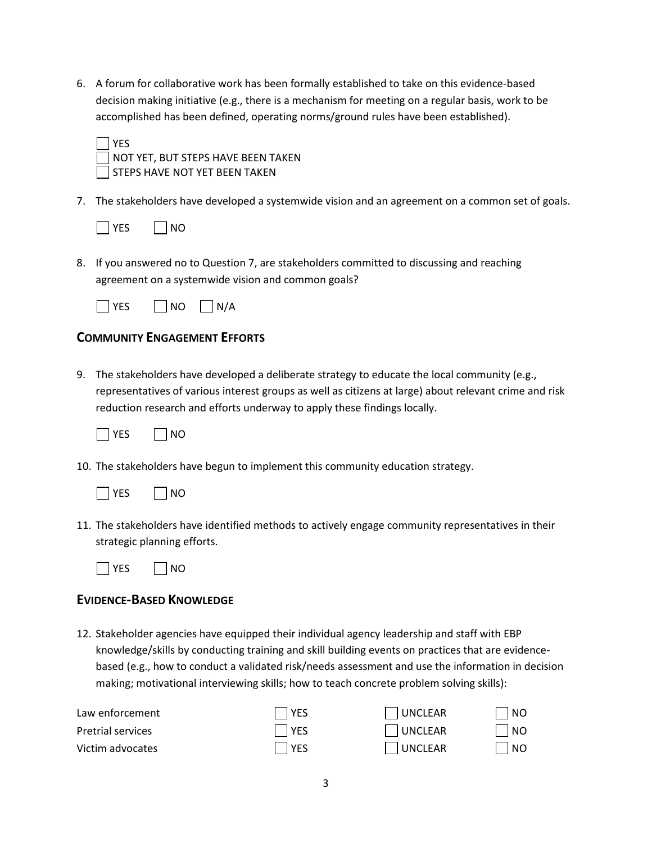6. A forum for collaborative work has been formally established to take on this evidence-based decision making initiative (e.g., there is a mechanism for meeting on a regular basis, work to be accomplished has been defined, operating norms/ground rules have been established).



NOT YET, BUT STEPS HAVE BEEN TAKEN STEPS HAVE NOT YET BEEN TAKEN

7. The stakeholders have developed a systemwide vision and an agreement on a common set of goals.



8. If you answered no to Question 7, are stakeholders committed to discussing and reaching agreement on a systemwide vision and common goals?

| -7 | ∣ N∩ | N/A |
|----|------|-----|
|    |      |     |

## **COMMUNITY ENGAGEMENT EFFORTS**

9. The stakeholders have developed a deliberate strategy to educate the local community (e.g., representatives of various interest groups as well as citizens at large) about relevant crime and risk reduction research and efforts underway to apply these findings locally.



10. The stakeholders have begun to implement this community education strategy.



11. The stakeholders have identified methods to actively engage community representatives in their strategic planning efforts.



## **EVIDENCE-BASED KNOWLEDGE**

12. Stakeholder agencies have equipped their individual agency leadership and staff with EBP knowledge/skills by conducting training and skill building events on practices that are evidencebased (e.g., how to conduct a validated risk/needs assessment and use the information in decision making; motivational interviewing skills; how to teach concrete problem solving skills):

| Law enforcement          | I YES       | UNCLEAR | l NO                        |
|--------------------------|-------------|---------|-----------------------------|
| <b>Pretrial services</b> | l YES       | UNCLEAR | $\overline{\phantom{a}}$ NO |
| Victim advocates         | <b>IYES</b> | UNCLEAR | $\overline{\mathsf{NO}}$    |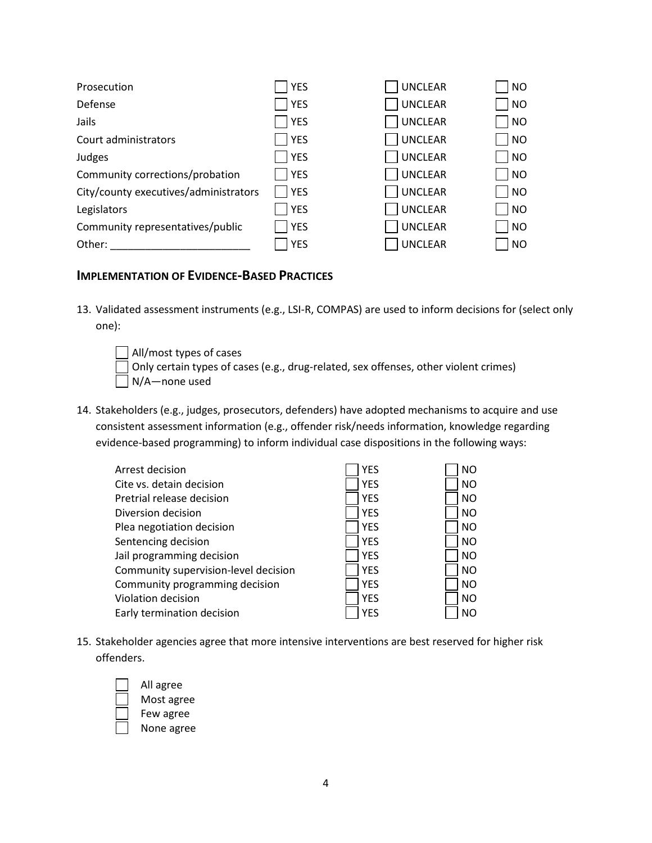| Prosecution                           | <b>YES</b> | <b>UNCLEAR</b> | <b>NO</b> |
|---------------------------------------|------------|----------------|-----------|
| Defense                               | <b>YES</b> | <b>UNCLEAR</b> | <b>NO</b> |
| Jails                                 | <b>YES</b> | <b>UNCLEAR</b> | <b>NO</b> |
| Court administrators                  | <b>YES</b> | <b>UNCLEAR</b> | <b>NO</b> |
| Judges                                | <b>YES</b> | <b>UNCLEAR</b> | <b>NO</b> |
| Community corrections/probation       | <b>YES</b> | <b>UNCLEAR</b> | <b>NO</b> |
| City/county executives/administrators | <b>YES</b> | <b>UNCLEAR</b> | <b>NO</b> |
| Legislators                           | YES        | <b>UNCLEAR</b> | <b>NO</b> |
| Community representatives/public      | <b>YES</b> | <b>UNCLEAR</b> | <b>NO</b> |
| Other:                                | <b>YES</b> | <b>UNCLEAR</b> | <b>NO</b> |

#### **IMPLEMENTATION OF EVIDENCE-BASED PRACTICES**

13. Validated assessment instruments (e.g., LSI-R, COMPAS) are used to inform decisions for (select only one):

All/most types of cases Only certain types of cases (e.g., drug-related, sex offenses, other violent crimes)  $\Box$  N/A-none used

14. Stakeholders (e.g., judges, prosecutors, defenders) have adopted mechanisms to acquire and use consistent assessment information (e.g., offender risk/needs information, knowledge regarding evidence-based programming) to inform individual case dispositions in the following ways:

| Arrest decision                      | <b>YES</b> | <b>NO</b> |
|--------------------------------------|------------|-----------|
| Cite vs. detain decision             | <b>YES</b> | <b>NO</b> |
| Pretrial release decision            | <b>YES</b> | <b>NO</b> |
| Diversion decision                   | <b>YES</b> | <b>NO</b> |
| Plea negotiation decision            | <b>YES</b> | <b>NO</b> |
| Sentencing decision                  | <b>YES</b> | <b>NO</b> |
| Jail programming decision            | <b>YES</b> | <b>NO</b> |
| Community supervision-level decision | <b>YES</b> | <b>NO</b> |
| Community programming decision       | <b>YES</b> | <b>NO</b> |
| Violation decision                   | <b>YES</b> | <b>NO</b> |
| Early termination decision           | <b>YES</b> | <b>NO</b> |

15. Stakeholder agencies agree that more intensive interventions are best reserved for higher risk offenders.

All agree Most agree Few agree None agree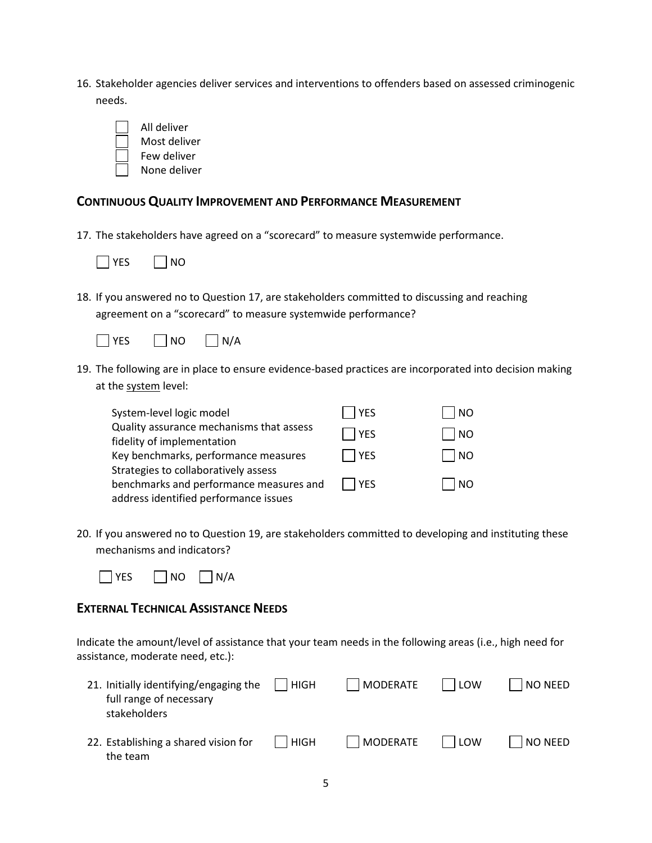16. Stakeholder agencies deliver services and interventions to offenders based on assessed criminogenic needs.



#### **CONTINUOUS QUALITY IMPROVEMENT AND PERFORMANCE MEASUREMENT**

17. The stakeholders have agreed on a "scorecard" to measure systemwide performance.



18. If you answered no to Question 17, are stakeholders committed to discussing and reaching agreement on a "scorecard" to measure systemwide performance?



19. The following are in place to ensure evidence-based practices are incorporated into decision making at the system level:

| System-level logic model                 | <b>YES</b> | N <sub>O</sub> |
|------------------------------------------|------------|----------------|
| Quality assurance mechanisms that assess | l YES      | <b>NO</b>      |
| fidelity of implementation               |            |                |
| Key benchmarks, performance measures     | <b>YES</b> | <b>NO</b>      |
| Strategies to collaboratively assess     |            |                |
| benchmarks and performance measures and  | l IYES     | N <sub>O</sub> |
| address identified performance issues    |            |                |

20. If you answered no to Question 19, are stakeholders committed to developing and instituting these mechanisms and indicators?



## **EXTERNAL TECHNICAL ASSISTANCE NEEDS**

Indicate the amount/level of assistance that your team needs in the following areas (i.e., high need for assistance, moderate need, etc.):

| 21. Initially identifying/engaging the<br>full range of necessary<br>stakeholders | <b>HIGH</b> | MODERATE | LOW   | <b>NO NEED</b> |
|-----------------------------------------------------------------------------------|-------------|----------|-------|----------------|
| 22. Establishing a shared vision for<br>the team                                  | HIGH        | MODERATE | l Low | <b>NO NEED</b> |